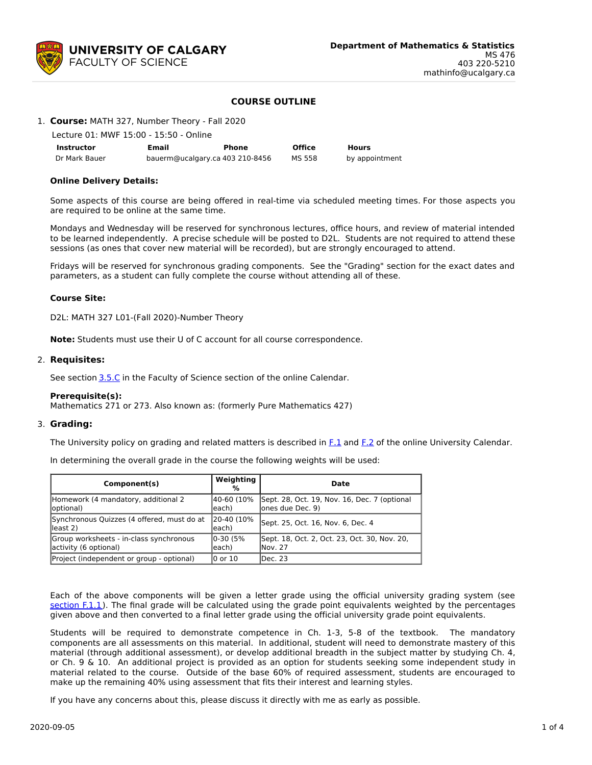

# **COURSE OUTLINE**

## 1. **Course:** MATH 327, Number Theory - Fall 2020

Lecture 01: MWF 15:00 - 15:50 - Online

| <b>Instructor</b> | Email                           | Phone | <b>Office</b> | Hours          |
|-------------------|---------------------------------|-------|---------------|----------------|
| Dr Mark Bauer     | bauerm@ucalgary.ca 403 210-8456 |       | MS 558        | by appointment |

## **Online Delivery Details:**

Some aspects of this course are being offered in real-time via scheduled meeting times. For those aspects you are required to be online at the same time.

Mondays and Wednesday will be reserved for synchronous lectures, office hours, and review of material intended to be learned independently. A precise schedule will be posted to D2L. Students are not required to attend these sessions (as ones that cover new material will be recorded), but are strongly encouraged to attend.

Fridays will be reserved for synchronous grading components. See the "Grading" section for the exact dates and parameters, as a student can fully complete the course without attending all of these.

## **Course Site:**

D2L: MATH 327 L01-(Fall 2020)-Number Theory

**Note:** Students must use their U of C account for all course correspondence.

## 2. **Requisites:**

See section [3.5.C](http://www.ucalgary.ca/pubs/calendar/current/sc-3-5.html) in the Faculty of Science section of the online Calendar.

## **Prerequisite(s):**

Mathematics 271 or 273. Also known as: (formerly Pure Mathematics 427)

## 3. **Grading:**

The University policy on grading and related matters is described in  $F<sub>1</sub>$  and  $F<sub>2</sub>$  of the online University Calendar.

In determining the overall grade in the course the following weights will be used:

| Component(s)                                                       | Weighting<br>%       | <b>Date</b>                                                       |
|--------------------------------------------------------------------|----------------------|-------------------------------------------------------------------|
| Homework (4 mandatory, additional 2<br>(optional)                  | 40-60 (10%<br>leach) | Sept. 28, Oct. 19, Nov. 16, Dec. 7 (optional<br>lones due Dec. 9) |
| Synchronous Quizzes (4 offered, must do at<br>$\parallel$ least 2) | 20-40 (10%<br>each)  | Sept. 25, Oct. 16, Nov. 6, Dec. 4                                 |
| Group worksheets - in-class synchronous<br>activity (6 optional)   | 0-30 (5%<br>leach)   | Sept. 18, Oct. 2, Oct. 23, Oct. 30, Nov. 20,<br>lNov. 27          |
| Project (independent or group - optional)                          | l0 or 10             | lDec. 23                                                          |

Each of the above components will be given a letter grade using the official university grading system (see [section](https://www.ucalgary.ca/pubs/calendar/current/f-1-1.html) F.1.1). The final grade will be calculated using the grade point equivalents weighted by the percentages given above and then converted to a final letter grade using the official university grade point equivalents.

Students will be required to demonstrate competence in Ch. 1-3, 5-8 of the textbook. The mandatory components are all assessments on this material. In additional, student will need to demonstrate mastery of this material (through additional assessment), or develop additional breadth in the subject matter by studying Ch. 4, or Ch. 9 & 10. An additional project is provided as an option for students seeking some independent study in material related to the course. Outside of the base 60% of required assessment, students are encouraged to make up the remaining 40% using assessment that fits their interest and learning styles.

If you have any concerns about this, please discuss it directly with me as early as possible.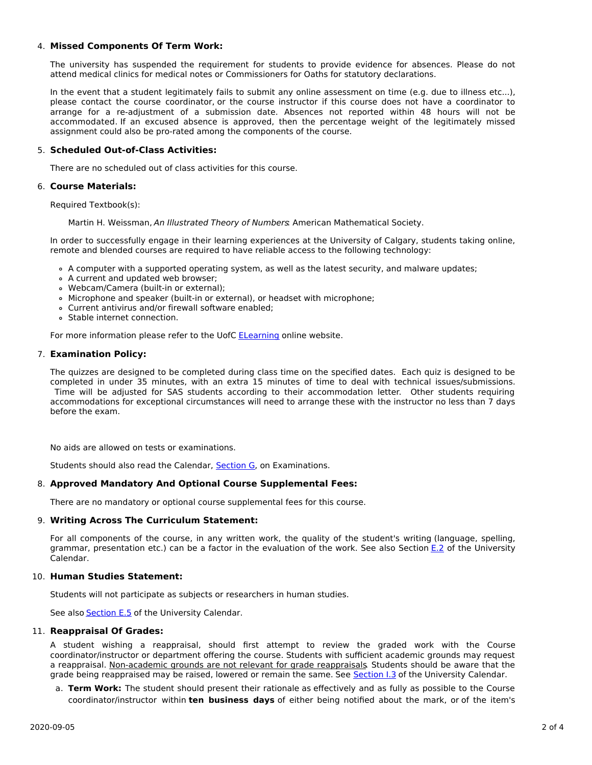# 4. **Missed Components Of Term Work:**

The university has suspended the requirement for students to provide evidence for absences. Please do not attend medical clinics for medical notes or Commissioners for Oaths for statutory declarations.

In the event that a student legitimately fails to submit any online assessment on time (e.g. due to illness etc...), please contact the course coordinator, or the course instructor if this course does not have a coordinator to arrange for a re-adjustment of a submission date. Absences not reported within 48 hours will not be accommodated. If an excused absence is approved, then the percentage weight of the legitimately missed assignment could also be pro-rated among the components of the course.

## 5. **Scheduled Out-of-Class Activities:**

There are no scheduled out of class activities for this course.

## 6. **Course Materials:**

Required Textbook(s):

Martin H. Weissman, An Illustrated Theory of Numbers. American Mathematical Society.

In order to successfully engage in their learning experiences at the University of Calgary, students taking online, remote and blended courses are required to have reliable access to the following technology:

- A computer with a supported operating system, as well as the latest security, and malware updates;
- A current and updated web browser;
- Webcam/Camera (built-in or external);
- Microphone and speaker (built-in or external), or headset with microphone;
- Current antivirus and/or firewall software enabled;
- Stable internet connection.

For more information please refer to the UofC **[ELearning](https://elearn.ucalgary.ca/technology-requirements-for-students)** online website.

## 7. **Examination Policy:**

The quizzes are designed to be completed during class time on the specified dates. Each quiz is designed to be completed in under 35 minutes, with an extra 15 minutes of time to deal with technical issues/submissions. Time will be adjusted for SAS students according to their accommodation letter. Other students requiring accommodations for exceptional circumstances will need to arrange these with the instructor no less than 7 days before the exam.

No aids are allowed on tests or examinations.

Students should also read the Calendar, [Section](http://www.ucalgary.ca/pubs/calendar/current/g.html) G, on Examinations.

## 8. **Approved Mandatory And Optional Course Supplemental Fees:**

There are no mandatory or optional course supplemental fees for this course.

## 9. **Writing Across The Curriculum Statement:**

For all components of the course, in any written work, the quality of the student's writing (language, spelling, grammar, presentation etc.) can be a factor in the evaluation of the work. See also Section [E.2](http://www.ucalgary.ca/pubs/calendar/current/e-2.html) of the University Calendar.

## 10. **Human Studies Statement:**

Students will not participate as subjects or researchers in human studies.

See also **[Section](http://www.ucalgary.ca/pubs/calendar/current/e-5.html) E.5** of the University Calendar.

## 11. **Reappraisal Of Grades:**

A student wishing a reappraisal, should first attempt to review the graded work with the Course coordinator/instructor or department offering the course. Students with sufficient academic grounds may request a reappraisal. Non-academic grounds are not relevant for grade reappraisals. Students should be aware that the grade being reappraised may be raised, lowered or remain the same. See [Section](http://www.ucalgary.ca/pubs/calendar/current/i-3.html) I.3 of the University Calendar.

a. **Term Work:** The student should present their rationale as effectively and as fully as possible to the Course coordinator/instructor within **ten business days** of either being notified about the mark, or of the item's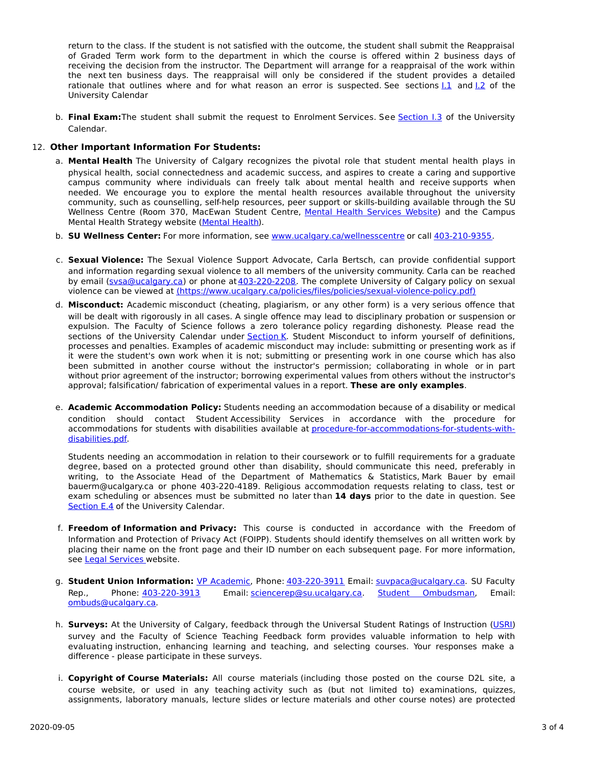return to the class. If the student is not satisfied with the outcome, the student shall submit the Reappraisal of Graded Term work form to the department in which the course is offered within 2 business days of receiving the decision from the instructor. The Department will arrange for a reappraisal of the work within the next ten business days. The reappraisal will only be considered if the student provides a detailed rationale that outlines where and for what reason an error is suspected. See sections  $1.1$  and  $1.2$  of the University Calendar

b. **Final Exam:**The student shall submit the request to Enrolment Services. See [Section](http://www.ucalgary.ca/pubs/calendar/current/i-3.html) I.3 of the University Calendar.

# 12. **Other Important Information For Students:**

- a. **Mental Health** The University of Calgary recognizes the pivotal role that student mental health plays in physical health, social connectedness and academic success, and aspires to create a caring and supportive campus community where individuals can freely talk about mental health and receive supports when needed. We encourage you to explore the mental health resources available throughout the university community, such as counselling, self-help resources, peer support or skills-building available through the SU Wellness Centre (Room 370, MacEwan Student Centre, Mental Health [Services](https://www.ucalgary.ca/wellnesscentre/services/mental-health-services) Website) and the Campus Mental Health Strategy website [\(Mental](http://www.ucalgary.ca/mentalhealth) Health).
- b. **SU Wellness Center:** For more information, see [www.ucalgary.ca/wellnesscentre](http://www.ucalgary.ca/wellnesscentre) or call [403-210-9355](tel:4032109355).
- c. **Sexual Violence:** The Sexual Violence Support Advocate, Carla Bertsch, can provide confidential support and information regarding sexual violence to all members of the university community. Carla can be reached by email [\(svsa@ucalgary.ca](mailto:svsa@ucalgary.ca)) or phone at [403-220-2208](tel:4032202208). The complete University of Calgary policy on sexual violence can be viewed at [\(https://www.ucalgary.ca/policies/files/policies/sexual-violence-policy.pdf\)](https://www.ucalgary.ca/policies/files/policies/sexual-violence-policy.pdf)
- d. **Misconduct:** Academic misconduct (cheating, plagiarism, or any other form) is a very serious offence that will be dealt with rigorously in all cases. A single offence may lead to disciplinary probation or suspension or expulsion. The Faculty of Science follows a zero tolerance policy regarding dishonesty. Please read the sections of the University Calendar under [Section](http://www.ucalgary.ca/pubs/calendar/current/k.html) K. Student Misconduct to inform yourself of definitions, processes and penalties. Examples of academic misconduct may include: submitting or presenting work as if it were the student's own work when it is not; submitting or presenting work in one course which has also been submitted in another course without the instructor's permission; collaborating in whole or in part without prior agreement of the instructor; borrowing experimental values from others without the instructor's approval; falsification/ fabrication of experimental values in a report. **These are only examples**.
- e. **Academic Accommodation Policy:** Students needing an accommodation because of a disability or medical condition should contact Student Accessibility Services in accordance with the procedure for accommodations for students with disabilities available at [procedure-for-accommodations-for-students-with](http://www.ucalgary.ca/policies/files/policies/procedure-for-accommodations-for-students-with-disabilities_0.pdf)disabilities.pdf.

Students needing an accommodation in relation to their coursework or to fulfill requirements for a graduate degree, based on a protected ground other than disability, should communicate this need, preferably in writing, to the Associate Head of the Department of Mathematics & Statistics, Mark Bauer by email bauerm@ucalgary.ca or phone 403-220-4189. Religious accommodation requests relating to class, test or exam scheduling or absences must be submitted no later than **14 days** prior to the date in question. See [Section](http://www.ucalgary.ca/pubs/calendar/current/e-4.html) E.4 of the University Calendar.

- f. **Freedom of Information and Privacy:** This course is conducted in accordance with the Freedom of Information and Protection of Privacy Act (FOIPP). Students should identify themselves on all written work by placing their name on the front page and their ID number on each subsequent page. For more information, see Legal [Services](http://www.ucalgary.ca/legalservices/foip) website.
- g. **Student Union Information:** VP [Academic](http://www.su.ucalgary.ca/contact), Phone: [403-220-3911](tel:4032203911) Email: [suvpaca@ucalgary.ca](mailto:suvpaca@ucalgary.ca). SU Faculty Rep., Phone: [403-220-3913](tel:4032203913) Email: [sciencerep@su.ucalgary.ca](mailto:sciencerep@su.ucalgary.ca). Student [Ombudsman](https://www.ucalgary.ca/ombuds/), Email: [ombuds@ucalgary.ca](mailto:%20ombuds@ucalgary.ca).
- h. **Surveys:** At the University of Calgary, feedback through the Universal Student Ratings of Instruction [\(USRI](http://www.ucalgary.ca/usri)) survey and the Faculty of Science Teaching Feedback form provides valuable information to help with evaluating instruction, enhancing learning and teaching, and selecting courses. Your responses make a difference - please participate in these surveys.
- i. **Copyright of Course Materials:** All course materials (including those posted on the course D2L site, a course website, or used in any teaching activity such as (but not limited to) examinations, quizzes, assignments, laboratory manuals, lecture slides or lecture materials and other course notes) are protected